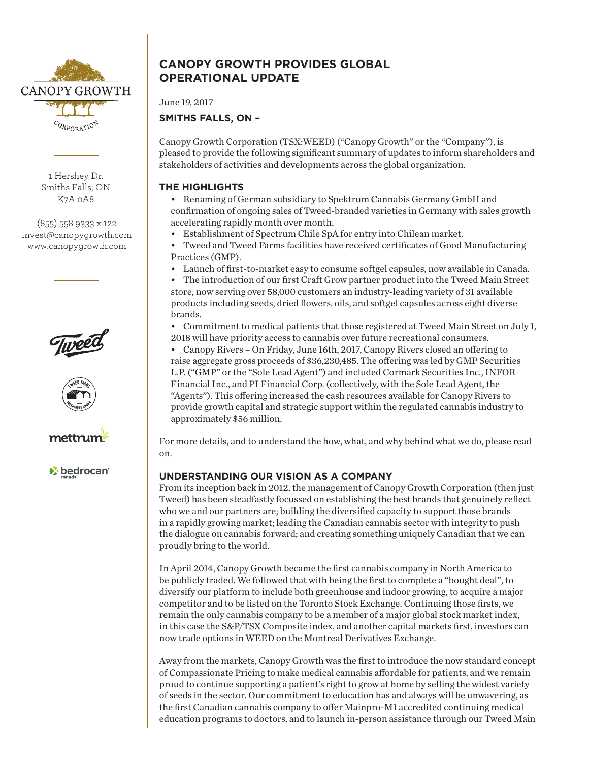

1 Hershey Dr. Smiths Falls, ON K7A 0A8

(855) 558 9333 x 122 invest@canopygrowth.com www.canopygrowth.com







*v* bedrocan

# **CANOPY GROWTH PROVIDES GLOBAL OPERATIONAL UPDATE**

June 19, 2017

# **SMITHS FALLS, ON –**

Canopy Growth Corporation (TSX:WEED) ("Canopy Growth" or the "Company"), is pleased to provide the following significant summary of updates to inform shareholders and stakeholders of activities and developments across the global organization.

### **THE HIGHLIGHTS**

- Renaming of German subsidiary to Spektrum Cannabis Germany GmbH and confirmation of ongoing sales of Tweed-branded varieties in Germany with sales growth accelerating rapidly month over month.
- Establishment of Spectrum Chile SpA for entry into Chilean market.
- Tweed and Tweed Farms facilities have received certificates of Good Manufacturing Practices (GMP).
- Launch of first-to-market easy to consume softgel capsules, now available in Canada.
- The introduction of our first Craft Grow partner product into the Tweed Main Street store, now serving over 58,000 customers an industry-leading variety of 31 available products including seeds, dried flowers, oils, and softgel capsules across eight diverse brands.
- Commitment to medical patients that those registered at Tweed Main Street on July 1, 2018 will have priority access to cannabis over future recreational consumers.
- Canopy Rivers On Friday, June 16th, 2017, Canopy Rivers closed an offering to raise aggregate gross proceeds of \$36,230,485. The offering was led by GMP Securities L.P. ("GMP" or the "Sole Lead Agent") and included Cormark Securities Inc., INFOR Financial Inc., and PI Financial Corp. (collectively, with the Sole Lead Agent, the "Agents"). This offering increased the cash resources available for Canopy Rivers to provide growth capital and strategic support within the regulated cannabis industry to approximately \$56 million.

For more details, and to understand the how, what, and why behind what we do, please read on.

## **UNDERSTANDING OUR VISION AS A COMPANY**

From its inception back in 2012, the management of Canopy Growth Corporation (then just Tweed) has been steadfastly focussed on establishing the best brands that genuinely reflect who we and our partners are; building the diversified capacity to support those brands in a rapidly growing market; leading the Canadian cannabis sector with integrity to push the dialogue on cannabis forward; and creating something uniquely Canadian that we can proudly bring to the world.

In April 2014, Canopy Growth became the first cannabis company in North America to be publicly traded. We followed that with being the first to complete a "bought deal", to diversify our platform to include both greenhouse and indoor growing, to acquire a major competitor and to be listed on the Toronto Stock Exchange. Continuing those firsts, we remain the only cannabis company to be a member of a major global stock market index, in this case the S&P/TSX Composite index, and another capital markets first, investors can now trade options in WEED on the Montreal Derivatives Exchange.

Away from the markets, Canopy Growth was the first to introduce the now standard concept of Compassionate Pricing to make medical cannabis affordable for patients, and we remain proud to continue supporting a patient's right to grow at home by selling the widest variety of seeds in the sector. Our commitment to education has and always will be unwavering, as the first Canadian cannabis company to offer Mainpro-M1 accredited continuing medical education programs to doctors, and to launch in-person assistance through our Tweed Main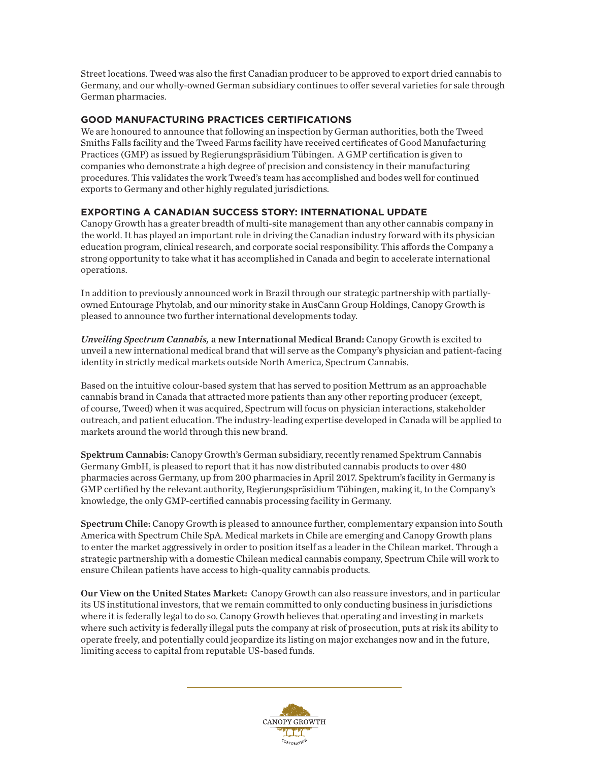Street locations. Tweed was also the first Canadian producer to be approved to export dried cannabis to Germany, and our wholly-owned German subsidiary continues to offer several varieties for sale through German pharmacies.

#### **GOOD MANUFACTURING PRACTICES CERTIFICATIONS**

We are honoured to announce that following an inspection by German authorities, both the Tweed Smiths Falls facility and the Tweed Farms facility have received certificates of Good Manufacturing Practices (GMP) as issued by Regierungspräsidium Tübingen. A GMP certification is given to companies who demonstrate a high degree of precision and consistency in their manufacturing procedures. This validates the work Tweed's team has accomplished and bodes well for continued exports to Germany and other highly regulated jurisdictions.

### **EXPORTING A CANADIAN SUCCESS STORY: INTERNATIONAL UPDATE**

Canopy Growth has a greater breadth of multi-site management than any other cannabis company in the world. It has played an important role in driving the Canadian industry forward with its physician education program, clinical research, and corporate social responsibility. This affords the Company a strong opportunity to take what it has accomplished in Canada and begin to accelerate international operations.

In addition to previously announced work in Brazil through our strategic partnership with partiallyowned Entourage Phytolab, and our minority stake in AusCann Group Holdings, Canopy Growth is pleased to announce two further international developments today.

*Unveiling Spectrum Cannabis,* a new International Medical Brand: Canopy Growth is excited to unveil a new international medical brand that will serve as the Company's physician and patient-facing identity in strictly medical markets outside North America, Spectrum Cannabis.

Based on the intuitive colour-based system that has served to position Mettrum as an approachable cannabis brand in Canada that attracted more patients than any other reporting producer (except, of course, Tweed) when it was acquired, Spectrum will focus on physician interactions, stakeholder outreach, and patient education. The industry-leading expertise developed in Canada will be applied to markets around the world through this new brand.

Spektrum Cannabis: Canopy Growth's German subsidiary, recently renamed Spektrum Cannabis Germany GmbH, is pleased to report that it has now distributed cannabis products to over 480 pharmacies across Germany, up from 200 pharmacies in April 2017. Spektrum's facility in Germany is GMP certified by the relevant authority, Regierungspräsidium Tübingen, making it, to the Company's knowledge, the only GMP-certified cannabis processing facility in Germany.

Spectrum Chile: Canopy Growth is pleased to announce further, complementary expansion into South America with Spectrum Chile SpA. Medical markets in Chile are emerging and Canopy Growth plans to enter the market aggressively in order to position itself as a leader in the Chilean market. Through a strategic partnership with a domestic Chilean medical cannabis company, Spectrum Chile will work to ensure Chilean patients have access to high-quality cannabis products.

Our View on the United States Market: Canopy Growth can also reassure investors, and in particular its US institutional investors, that we remain committed to only conducting business in jurisdictions where it is federally legal to do so. Canopy Growth believes that operating and investing in markets where such activity is federally illegal puts the company at risk of prosecution, puts at risk its ability to operate freely, and potentially could jeopardize its listing on major exchanges now and in the future, limiting access to capital from reputable US-based funds.

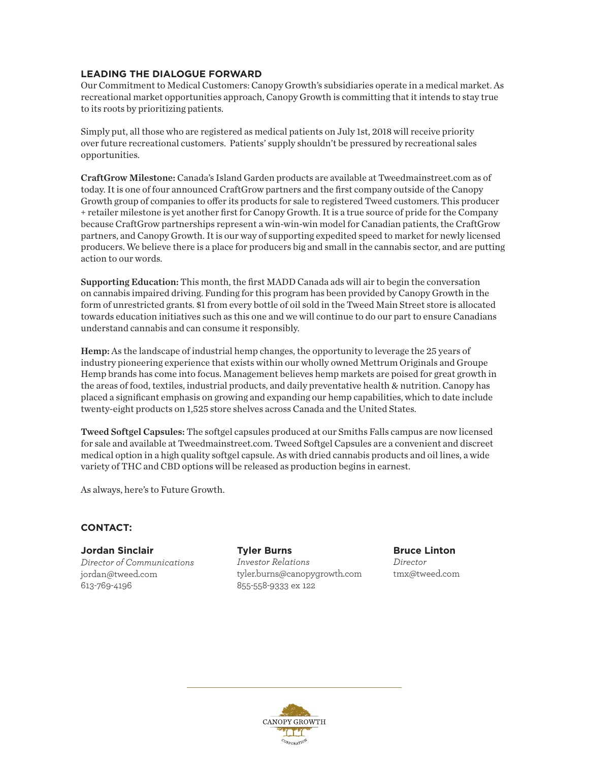#### **LEADING THE DIALOGUE FORWARD**

Our Commitment to Medical Customers: Canopy Growth's subsidiaries operate in a medical market. As recreational market opportunities approach, Canopy Growth is committing that it intends to stay true to its roots by prioritizing patients.

Simply put, all those who are registered as medical patients on July 1st, 2018 will receive priority over future recreational customers. Patients' supply shouldn't be pressured by recreational sales opportunities.

CraftGrow Milestone: Canada's Island Garden products are available at Tweedmainstreet.com as of today. It is one of four announced CraftGrow partners and the first company outside of the Canopy Growth group of companies to offer its products for sale to registered Tweed customers. This producer + retailer milestone is yet another first for Canopy Growth. It is a true source of pride for the Company because CraftGrow partnerships represent a win-win-win model for Canadian patients, the CraftGrow partners, and Canopy Growth. It is our way of supporting expedited speed to market for newly licensed producers. We believe there is a place for producers big and small in the cannabis sector, and are putting action to our words.

Supporting Education: This month, the first MADD Canada ads will air to begin the conversation on cannabis impaired driving. Funding for this program has been provided by Canopy Growth in the form of unrestricted grants. \$1 from every bottle of oil sold in the Tweed Main Street store is allocated towards education initiatives such as this one and we will continue to do our part to ensure Canadians understand cannabis and can consume it responsibly.

Hemp: As the landscape of industrial hemp changes, the opportunity to leverage the 25 years of industry pioneering experience that exists within our wholly owned Mettrum Originals and Groupe Hemp brands has come into focus. Management believes hemp markets are poised for great growth in the areas of food, textiles, industrial products, and daily preventative health & nutrition. Canopy has placed a significant emphasis on growing and expanding our hemp capabilities, which to date include twenty-eight products on 1,525 store shelves across Canada and the United States.

Tweed Softgel Capsules: The softgel capsules produced at our Smiths Falls campus are now licensed for sale and available at Tweedmainstreet.com. Tweed Softgel Capsules are a convenient and discreet medical option in a high quality softgel capsule. As with dried cannabis products and oil lines, a wide variety of THC and CBD options will be released as production begins in earnest.

As always, here's to Future Growth.

#### **CONTACT:**

**Jordan Sinclair** *Director of Communications* jordan@tweed.com 613-769-4196

**Tyler Burns** *Investor Relations* tyler.burns@canopygrowth.com 855-558-9333 ex 122

**Bruce Linton** *Director* tmx@tweed.com